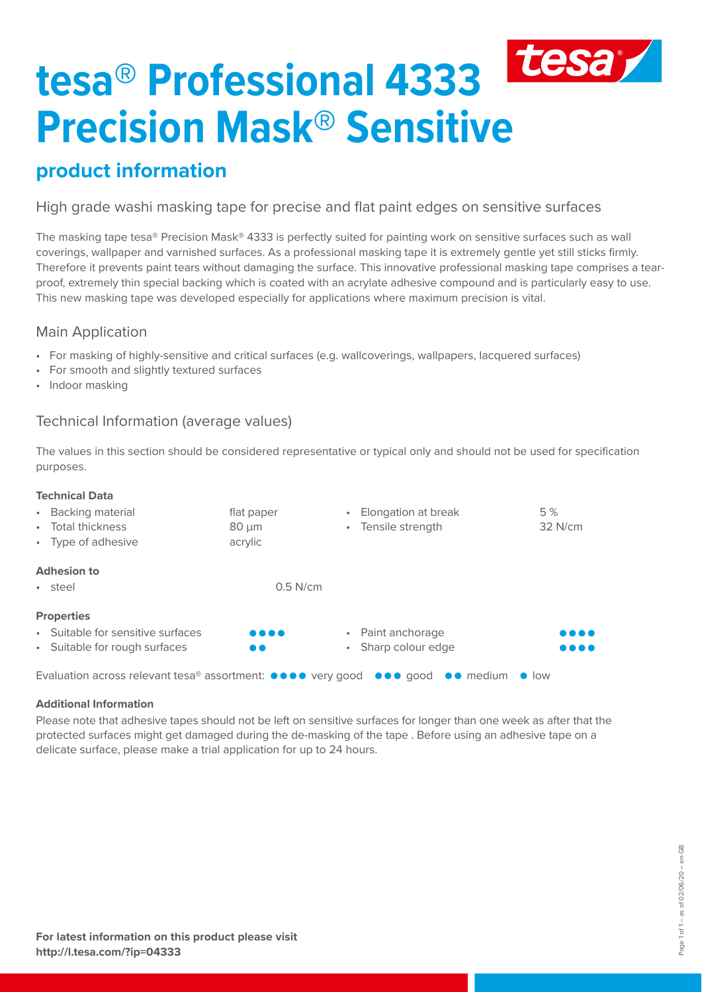# tesa **tesa® Professional 4333 Precision Mask® Sensitive**

# **product information**

High grade washi masking tape for precise and flat paint edges on sensitive surfaces

The masking tape tesa® Precision Mask® 4333 is perfectly suited for painting work on sensitive surfaces such as wall coverings, wallpaper and varnished surfaces. As a professional masking tape it is extremely gentle yet still sticks firmly. Therefore it prevents paint tears without damaging the surface. This innovative professional masking tape comprises a tearproof, extremely thin special backing which is coated with an acrylate adhesive compound and is particularly easy to use. This new masking tape was developed especially for applications where maximum precision is vital.

## Main Application

- For masking of highly-sensitive and critical surfaces (e.g. wallcoverings, wallpapers, lacquered surfaces)
- For smooth and slightly textured surfaces
- Indoor masking

## Technical Information (average values)

The values in this section should be considered representative or typical only and should not be used for specification purposes.

#### **Technical Data** • Backing material **flat paper** • Total thickness 80 µm • Type of adhesive acrylic • Elongation at break 5 % • Tensile strength 32 N/cm **Adhesion to**  $\bullet$  steel  $0.5$  N/cm **Properties** Suitable for sensitive surfaces Suitable for rough surfaces • Paint anchorage • Sharp colour edge Evaluation across relevant tesa® assortment:  $\bullet \bullet \bullet \bullet$  very good  $\bullet \bullet \bullet$  good  $\bullet \bullet$  medium  $\bullet$  low

#### **Additional Information**

Please note that adhesive tapes should not be left on sensitive surfaces for longer than one week as after that the protected surfaces might get damaged during the de-masking of the tape . Before using an adhesive tape on a delicate surface, please make a trial application for up to 24 hours.